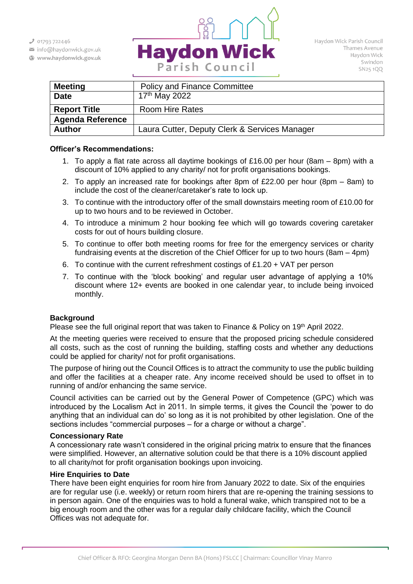$301793722446$ 

- info@haydonwick.gov.uk
- Www.haydonwick.gov.uk



| <b>Meeting</b>          | <b>Policy and Finance Committee</b>           |  |  |
|-------------------------|-----------------------------------------------|--|--|
| <b>Date</b>             | 17 <sup>th</sup> May 2022                     |  |  |
| <b>Report Title</b>     | <b>Room Hire Rates</b>                        |  |  |
| <b>Agenda Reference</b> |                                               |  |  |
| <b>Author</b>           | Laura Cutter, Deputy Clerk & Services Manager |  |  |

### **Officer's Recommendations:**

- 1. To apply a flat rate across all daytime bookings of £16.00 per hour (8am 8pm) with a discount of 10% applied to any charity/ not for profit organisations bookings.
- 2. To apply an increased rate for bookings after 8pm of £22.00 per hour (8pm 8am) to include the cost of the cleaner/caretaker's rate to lock up.
- 3. To continue with the introductory offer of the small downstairs meeting room of £10.00 for up to two hours and to be reviewed in October.
- 4. To introduce a minimum 2 hour booking fee which will go towards covering caretaker costs for out of hours building closure.
- 5. To continue to offer both meeting rooms for free for the emergency services or charity fundraising events at the discretion of the Chief Officer for up to two hours (8am – 4pm)
- 6. To continue with the current refreshment costings of £1.20 + VAT per person
- 7. To continue with the 'block booking' and regular user advantage of applying a 10% discount where 12+ events are booked in one calendar year, to include being invoiced monthly.

#### **Background**

Please see the full original report that was taken to Finance & Policy on 19<sup>th</sup> April 2022.

At the meeting queries were received to ensure that the proposed pricing schedule considered all costs, such as the cost of running the building, staffing costs and whether any deductions could be applied for charity/ not for profit organisations.

The purpose of hiring out the Council Offices is to attract the community to use the public building and offer the facilities at a cheaper rate. Any income received should be used to offset in to running of and/or enhancing the same service.

Council activities can be carried out by the General Power of Competence (GPC) which was introduced by the Localism Act in 2011. In simple terms, it gives the Council the 'power to do anything that an individual can do' so long as it is not prohibited by other legislation. One of the sections includes "commercial purposes – for a charge or without a charge".

#### **Concessionary Rate**

A concessionary rate wasn't considered in the original pricing matrix to ensure that the finances were simplified. However, an alternative solution could be that there is a 10% discount applied to all charity/not for profit organisation bookings upon invoicing.

### **Hire Enquiries to Date**

There have been eight enquiries for room hire from January 2022 to date. Six of the enquiries are for regular use (i.e. weekly) or return room hirers that are re-opening the training sessions to in person again. One of the enquiries was to hold a funeral wake, which transpired not to be a big enough room and the other was for a regular daily childcare facility, which the Council Offices was not adequate for.